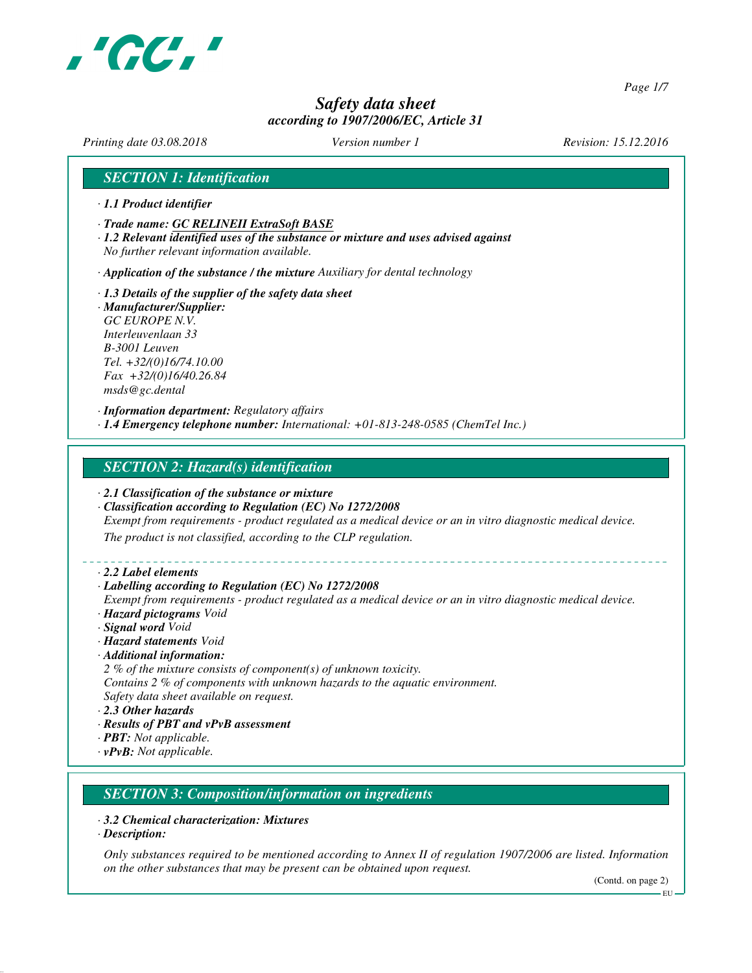

*Page 1/7*

# *Safety data sheet according to 1907/2006/EC, Article 31*

*Printing date 03.08.2018 Version number 1 Revision: 15.12.2016*

## *SECTION 1: Identification*

- *· 1.1 Product identifier*
- *· Trade name: GC RELINEII ExtraSoft BASE*
- *· 1.2 Relevant identified uses of the substance or mixture and uses advised against No further relevant information available.*
- *· Application of the substance / the mixture Auxiliary for dental technology*
- *· 1.3 Details of the supplier of the safety data sheet · Manufacturer/Supplier: GC EUROPE N.V. Interleuvenlaan 33 B-3001 Leuven Tel. +32/(0)16/74.10.00 Fax +32/(0)16/40.26.84 msds@gc.dental*

*· Information department: Regulatory affairs · 1.4 Emergency telephone number: International: +01-813-248-0585 (ChemTel Inc.)*

#### *SECTION 2: Hazard(s) identification*

- *· 2.1 Classification of the substance or mixture*
- *· Classification according to Regulation (EC) No 1272/2008*
- *Exempt from requirements product regulated as a medical device or an in vitro diagnostic medical device.*

*The product is not classified, according to the CLP regulation.*

*· 2.2 Label elements*

#### *· Labelling according to Regulation (EC) No 1272/2008*

- *Exempt from requirements product regulated as a medical device or an in vitro diagnostic medical device. · Hazard pictograms Void*
- *· Signal word Void*
- *· Hazard statements Void*
- *· Additional information:*
- *2 % of the mixture consists of component(s) of unknown toxicity.*
- *Contains 2 % of components with unknown hazards to the aquatic environment.*
- *Safety data sheet available on request.*
- *· 2.3 Other hazards*
- *· Results of PBT and vPvB assessment*
- *· PBT: Not applicable.*
- *· vPvB: Not applicable.*

# *SECTION 3: Composition/information on ingredients*

- *· 3.2 Chemical characterization: Mixtures*
- *· Description:*

*Only substances required to be mentioned according to Annex II of regulation 1907/2006 are listed. Information on the other substances that may be present can be obtained upon request.*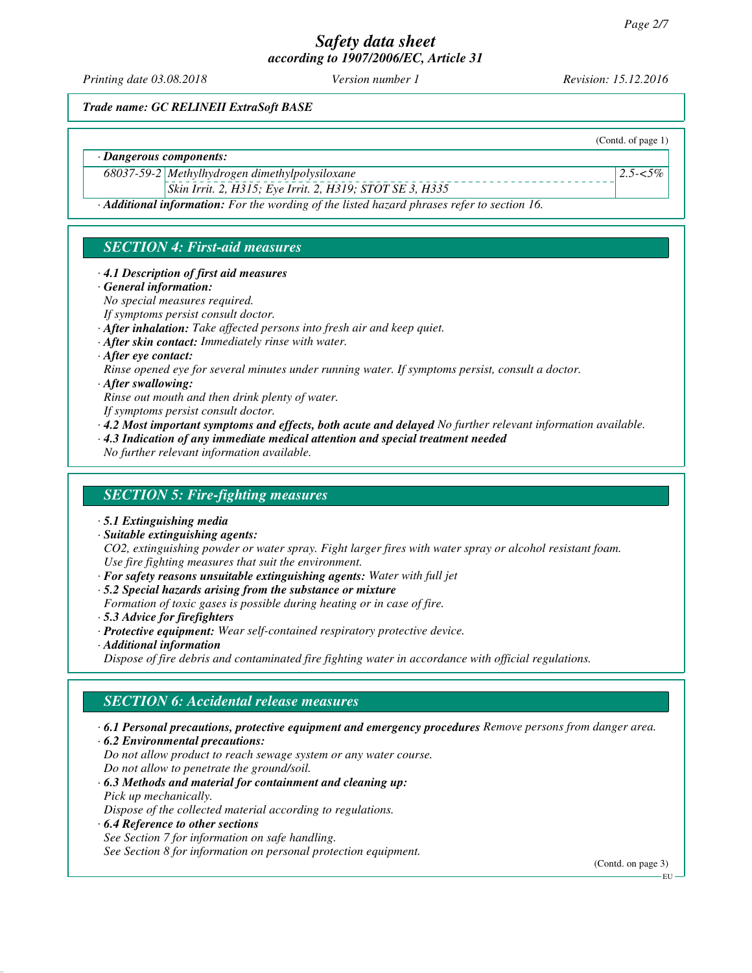*Printing date 03.08.2018 Version number 1 Revision: 15.12.2016*

(Contd. of page 1)

*2.5-<5%*

*Trade name: GC RELINEII ExtraSoft BASE*

*· Dangerous components:*

*68037-59-2 Methylhydrogen dimethylpolysiloxane*

*Skin Irrit. 2, H315; Eye Irrit. 2, H319; STOT SE 3, H335*

*· Additional information: For the wording of the listed hazard phrases refer to section 16.*

# *SECTION 4: First-aid measures*

#### *· 4.1 Description of first aid measures*

*· General information:*

*No special measures required.*

*If symptoms persist consult doctor.*

- *· After inhalation: Take affected persons into fresh air and keep quiet.*
- *· After skin contact: Immediately rinse with water.*

*· After eye contact:*

*Rinse opened eye for several minutes under running water. If symptoms persist, consult a doctor.*

#### *· After swallowing:*

*Rinse out mouth and then drink plenty of water.*

*If symptoms persist consult doctor.*

- *· 4.2 Most important symptoms and effects, both acute and delayed No further relevant information available.*
- *· 4.3 Indication of any immediate medical attention and special treatment needed*

*No further relevant information available.*

#### *SECTION 5: Fire-fighting measures*

- *· 5.1 Extinguishing media*
- *· Suitable extinguishing agents:*

*CO2, extinguishing powder or water spray. Fight larger fires with water spray or alcohol resistant foam. Use fire fighting measures that suit the environment.*

- *· For safety reasons unsuitable extinguishing agents: Water with full jet*
- *· 5.2 Special hazards arising from the substance or mixture*
- *Formation of toxic gases is possible during heating or in case of fire.*
- *· 5.3 Advice for firefighters*
- *· Protective equipment: Wear self-contained respiratory protective device.*
- *· Additional information*

*Dispose of fire debris and contaminated fire fighting water in accordance with official regulations.*

## *SECTION 6: Accidental release measures*

- *· 6.1 Personal precautions, protective equipment and emergency procedures Remove persons from danger area.*
- *· 6.2 Environmental precautions:*

*Do not allow product to reach sewage system or any water course. Do not allow to penetrate the ground/soil.*

- *· 6.3 Methods and material for containment and cleaning up: Pick up mechanically. Dispose of the collected material according to regulations.*
- *· 6.4 Reference to other sections*

*See Section 7 for information on safe handling.*

*See Section 8 for information on personal protection equipment.*

(Contd. on page 3)

EU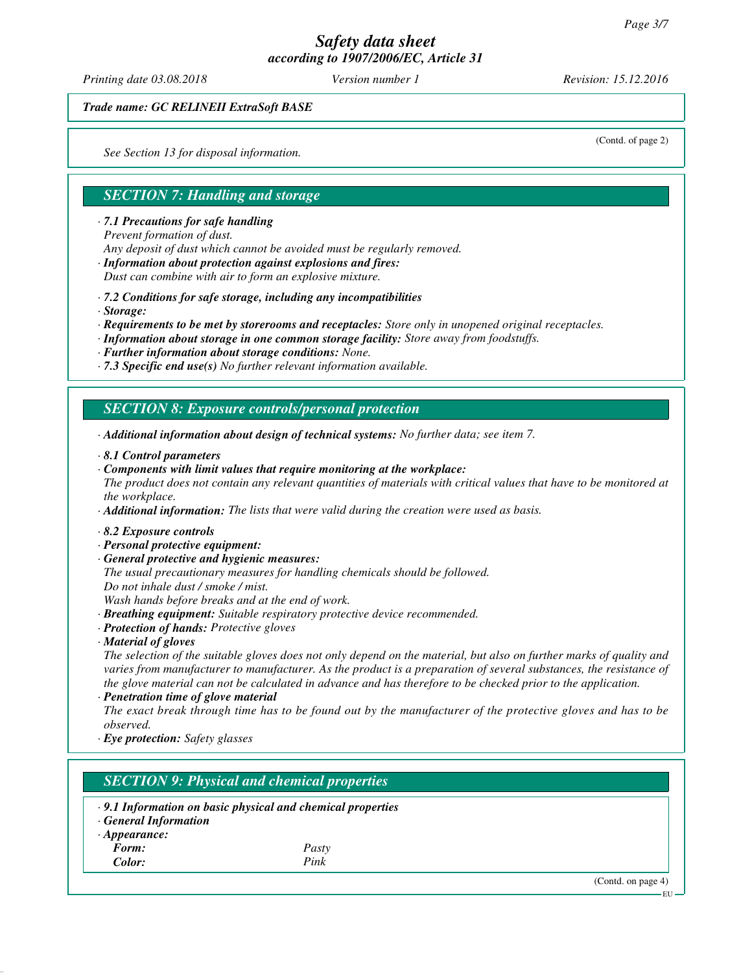*Printing date 03.08.2018 Version number 1 Revision: 15.12.2016*

(Contd. of page 2)

*Trade name: GC RELINEII ExtraSoft BASE*

*See Section 13 for disposal information.*

## *SECTION 7: Handling and storage*

*· 7.1 Precautions for safe handling*

*Prevent formation of dust.*

*Any deposit of dust which cannot be avoided must be regularly removed.*

*· Information about protection against explosions and fires:*

*Dust can combine with air to form an explosive mixture.*

- *· 7.2 Conditions for safe storage, including any incompatibilities*
- *· Storage:*
- *· Requirements to be met by storerooms and receptacles: Store only in unopened original receptacles.*
- *· Information about storage in one common storage facility: Store away from foodstuffs.*
- *· Further information about storage conditions: None.*
- *· 7.3 Specific end use(s) No further relevant information available.*

#### *SECTION 8: Exposure controls/personal protection*

- *· Additional information about design of technical systems: No further data; see item 7.*
- *· 8.1 Control parameters*
- *· Components with limit values that require monitoring at the workplace:*

*The product does not contain any relevant quantities of materials with critical values that have to be monitored at the workplace.*

- *· Additional information: The lists that were valid during the creation were used as basis.*
- *· 8.2 Exposure controls*
- *· Personal protective equipment:*
- *· General protective and hygienic measures:*
- *The usual precautionary measures for handling chemicals should be followed. Do not inhale dust / smoke / mist.*

*Wash hands before breaks and at the end of work.*

- *· Breathing equipment: Suitable respiratory protective device recommended.*
- *· Protection of hands: Protective gloves*
- *· Material of gloves*

*The selection of the suitable gloves does not only depend on the material, but also on further marks of quality and varies from manufacturer to manufacturer. As the product is a preparation of several substances, the resistance of the glove material can not be calculated in advance and has therefore to be checked prior to the application.*

*· Penetration time of glove material*

*The exact break through time has to be found out by the manufacturer of the protective gloves and has to be observed.*

*· Eye protection: Safety glasses*

## *SECTION 9: Physical and chemical properties*

*· 9.1 Information on basic physical and chemical properties · General Information · Appearance: Form: Pasty Color: Pink*

(Contd. on page 4)

EU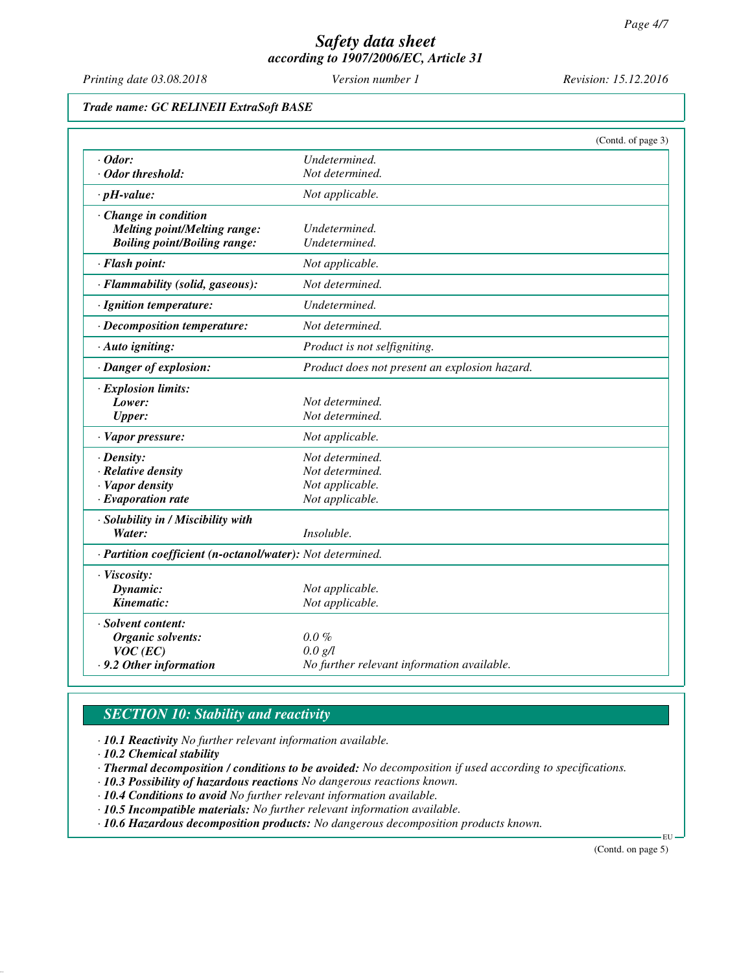*Printing date 03.08.2018 Version number 1 Revision: 15.12.2016*

*Trade name: GC RELINEII ExtraSoft BASE*

|                                                            |                                               | (Contd. of page 3) |
|------------------------------------------------------------|-----------------------------------------------|--------------------|
| $\cdot$ Odor:                                              | Undetermined.                                 |                    |
| · Odor threshold:                                          | Not determined.                               |                    |
| $\cdot$ pH-value:                                          | Not applicable.                               |                    |
| · Change in condition                                      |                                               |                    |
| <b>Melting point/Melting range:</b>                        | Undetermined.                                 |                    |
| <b>Boiling point/Boiling range:</b>                        | Undetermined.                                 |                    |
| · Flash point:                                             | Not applicable.                               |                    |
| · Flammability (solid, gaseous):                           | Not determined.                               |                    |
| · Ignition temperature:                                    | Undetermined.                                 |                    |
| · Decomposition temperature:                               | Not determined.                               |                    |
| · Auto igniting:                                           | Product is not selfigniting.                  |                    |
| · Danger of explosion:                                     | Product does not present an explosion hazard. |                    |
| · Explosion limits:                                        |                                               |                    |
| Lower:                                                     | Not determined.                               |                    |
| <b>Upper:</b>                                              | Not determined.                               |                    |
| $\cdot$ Vapor pressure:                                    | Not applicable.                               |                    |
| $\cdot$ Density:                                           | Not determined.                               |                    |
| $\cdot$ Relative density                                   | Not determined.                               |                    |
| · Vapor density                                            | Not applicable.                               |                    |
| $\cdot$ Evaporation rate                                   | Not applicable.                               |                    |
| · Solubility in / Miscibility with                         |                                               |                    |
| Water:                                                     | Insoluble.                                    |                    |
| · Partition coefficient (n-octanol/water): Not determined. |                                               |                    |
| · Viscosity:                                               |                                               |                    |
| Dynamic:                                                   | Not applicable.                               |                    |
| Kinematic:                                                 | Not applicable.                               |                    |
| · Solvent content:                                         |                                               |                    |
| Organic solvents:                                          | $0.0\%$                                       |                    |
| $VOC$ (EC)                                                 | $0.0 \text{ g/l}$                             |                    |
| .9.2 Other information                                     | No further relevant information available.    |                    |

# *SECTION 10: Stability and reactivity*

*· 10.1 Reactivity No further relevant information available.*

*· 10.2 Chemical stability*

*· Thermal decomposition / conditions to be avoided: No decomposition if used according to specifications.*

*· 10.3 Possibility of hazardous reactions No dangerous reactions known.*

*· 10.4 Conditions to avoid No further relevant information available.*

*· 10.5 Incompatible materials: No further relevant information available.*

*· 10.6 Hazardous decomposition products: No dangerous decomposition products known.*

(Contd. on page 5)

EU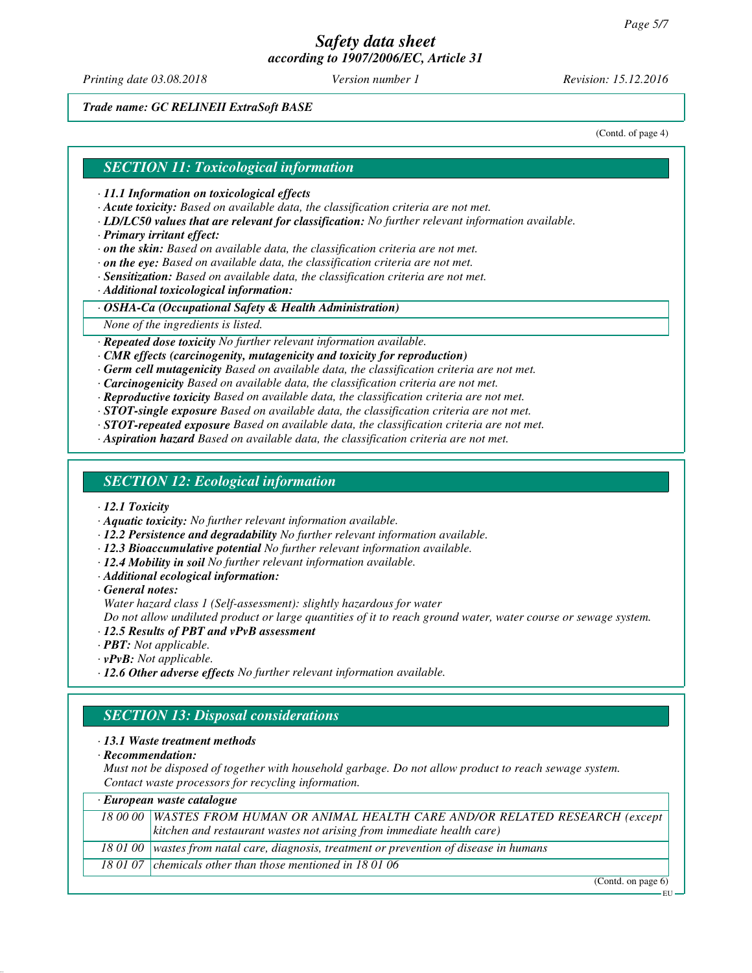*Printing date 03.08.2018 Version number 1 Revision: 15.12.2016*

*Trade name: GC RELINEII ExtraSoft BASE*

(Contd. of page 4)

#### *SECTION 11: Toxicological information*

*· 11.1 Information on toxicological effects*

- *· Acute toxicity: Based on available data, the classification criteria are not met.*
- *· LD/LC50 values that are relevant for classification: No further relevant information available.*
- *· Primary irritant effect:*
- *· on the skin: Based on available data, the classification criteria are not met.*
- *· on the eye: Based on available data, the classification criteria are not met.*
- *· Sensitization: Based on available data, the classification criteria are not met.*

*· Additional toxicological information:*

*· OSHA-Ca (Occupational Safety & Health Administration)*

*None of the ingredients is listed.*

*· Repeated dose toxicity No further relevant information available.*

- *· CMR effects (carcinogenity, mutagenicity and toxicity for reproduction)*
- *· Germ cell mutagenicity Based on available data, the classification criteria are not met.*

*· Carcinogenicity Based on available data, the classification criteria are not met.*

*· Reproductive toxicity Based on available data, the classification criteria are not met.*

*· STOT-single exposure Based on available data, the classification criteria are not met.*

- *· STOT-repeated exposure Based on available data, the classification criteria are not met.*
- *· Aspiration hazard Based on available data, the classification criteria are not met.*

#### *SECTION 12: Ecological information*

*· 12.1 Toxicity*

- *· Aquatic toxicity: No further relevant information available.*
- *· 12.2 Persistence and degradability No further relevant information available.*
- *· 12.3 Bioaccumulative potential No further relevant information available.*
- *· 12.4 Mobility in soil No further relevant information available.*
- *· Additional ecological information:*

*· General notes:*

*Water hazard class 1 (Self-assessment): slightly hazardous for water*

*Do not allow undiluted product or large quantities of it to reach ground water, water course or sewage system.*

- *· 12.5 Results of PBT and vPvB assessment*
- *· PBT: Not applicable.*
- *· vPvB: Not applicable.*
- *· 12.6 Other adverse effects No further relevant information available.*

## *SECTION 13: Disposal considerations*

#### *· 13.1 Waste treatment methods*

*· Recommendation:*

*Must not be disposed of together with household garbage. Do not allow product to reach sewage system. Contact waste processors for recycling information.*

| · European waste catalogue |                                                                                            |  |
|----------------------------|--------------------------------------------------------------------------------------------|--|
|                            | 18 00 00 WASTES FROM HUMAN OR ANIMAL HEALTH CARE AND/OR RELATED RESEARCH (except           |  |
|                            | $\vert$ kitchen and restaurant wastes not arising from immediate health care)              |  |
|                            | 18 01 00   wastes from natal care, diagnosis, treatment or prevention of disease in humans |  |
|                            | 18 01 07 chemicals other than those mentioned in 18 01 06                                  |  |

(Contd. on page 6)

EU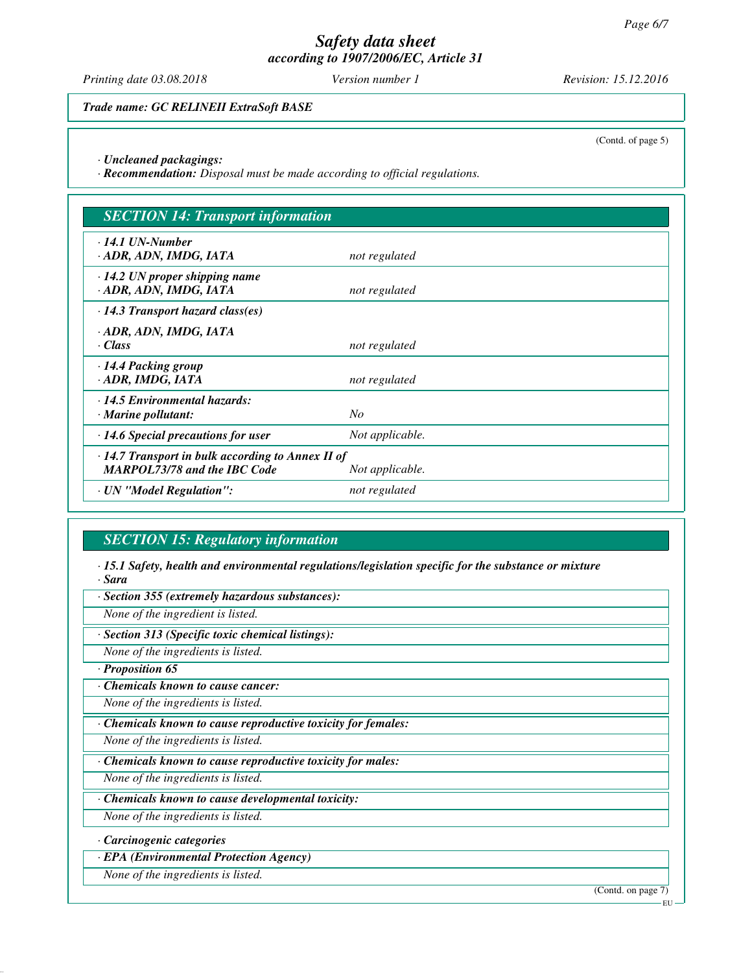*Printing date 03.08.2018 Version number 1 Revision: 15.12.2016*

*Trade name: GC RELINEII ExtraSoft BASE*

(Contd. of page 5)

*· Uncleaned packagings:*

*· Recommendation: Disposal must be made according to official regulations.*

| <b>SECTION 14: Transport information</b>                                                       |                 |  |
|------------------------------------------------------------------------------------------------|-----------------|--|
| $\cdot$ 14.1 UN-Number<br>· ADR, ADN, IMDG, IATA                                               | not regulated   |  |
| $\cdot$ 14.2 UN proper shipping name<br>· ADR, ADN, IMDG, IATA                                 | not regulated   |  |
| $\cdot$ 14.3 Transport hazard class(es)                                                        |                 |  |
| · ADR, ADN, IMDG, IATA<br>· Class                                                              | not regulated   |  |
| $\cdot$ 14.4 Packing group<br>· ADR, IMDG, IATA                                                | not regulated   |  |
| $\cdot$ 14.5 Environmental hazards:<br>$\cdot$ Marine pollutant:                               | No              |  |
| $\cdot$ 14.6 Special precautions for user                                                      | Not applicable. |  |
| $\cdot$ 14.7 Transport in bulk according to Annex II of<br><b>MARPOL73/78 and the IBC Code</b> | Not applicable. |  |
| · UN "Model Regulation":                                                                       | not regulated   |  |

# *SECTION 15: Regulatory information*

*· 15.1 Safety, health and environmental regulations/legislation specific for the substance or mixture · Sara*

*· Section 355 (extremely hazardous substances):*

*None of the ingredient is listed.*

*· Section 313 (Specific toxic chemical listings):*

*None of the ingredients is listed.*

*· Proposition 65*

*· Chemicals known to cause cancer:*

*None of the ingredients is listed.*

*· Chemicals known to cause reproductive toxicity for females:*

*None of the ingredients is listed.*

*· Chemicals known to cause reproductive toxicity for males:*

*None of the ingredients is listed.*

*· Chemicals known to cause developmental toxicity:*

*None of the ingredients is listed.*

*· Carcinogenic categories*

*· EPA (Environmental Protection Agency)*

*None of the ingredients is listed.*

(Contd. on page 7)

EU